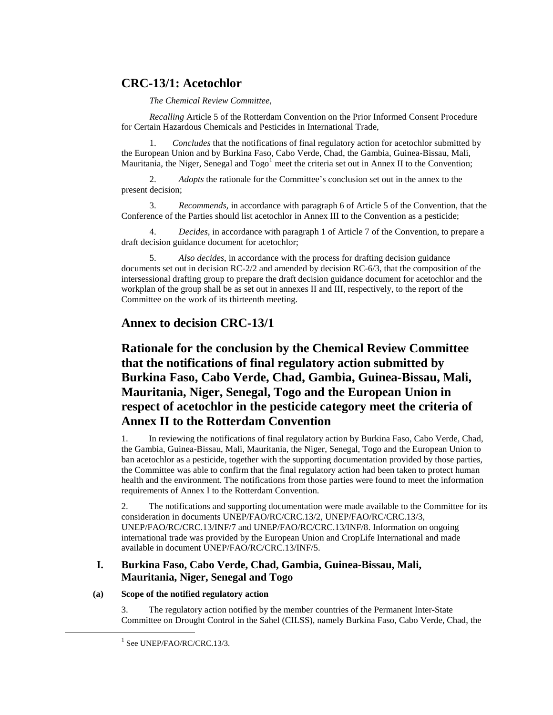# **CRC-13/1: Acetochlor**

# *The Chemical Review Committee*,

*Recalling* Article 5 of the Rotterdam Convention on the Prior Informed Consent Procedure for Certain Hazardous Chemicals and Pesticides in International Trade,

1. *Concludes* that the notifications of final regulatory action for acetochlor submitted by the European Union and by Burkina Faso, Cabo Verde, Chad, the Gambia, Guinea-Bissau, Mali, Mauritania, the Niger, Senegal and Togo<sup>[1](#page-0-0)</sup> meet the criteria set out in Annex II to the Convention;

2. *Adopts* the rationale for the Committee's conclusion set out in the annex to the present decision;

3. *Recommends,* in accordance with paragraph 6 of Article 5 of the Convention, that the Conference of the Parties should list acetochlor in Annex III to the Convention as a pesticide;

4. *Decides,* in accordance with paragraph 1 of Article 7 of the Convention, to prepare a draft decision guidance document for acetochlor;

5. *Also decides*, in accordance with the process for drafting decision guidance documents set out in decision RC-2/2 and amended by decision RC-6/3, that the composition of the intersessional drafting group to prepare the draft decision guidance document for acetochlor and the workplan of the group shall be as set out in annexes II and III, respectively, to the report of the Committee on the work of its thirteenth meeting.

# **Annex to decision CRC-13/1**

# **Rationale for the conclusion by the Chemical Review Committee that the notifications of final regulatory action submitted by Burkina Faso, Cabo Verde, Chad, Gambia, Guinea-Bissau, Mali, Mauritania, Niger, Senegal, Togo and the European Union in respect of acetochlor in the pesticide category meet the criteria of Annex II to the Rotterdam Convention**

1. In reviewing the notifications of final regulatory action by Burkina Faso, Cabo Verde, Chad, the Gambia, Guinea-Bissau, Mali, Mauritania, the Niger, Senegal, Togo and the European Union to ban acetochlor as a pesticide, together with the supporting documentation provided by those parties, the Committee was able to confirm that the final regulatory action had been taken to protect human health and the environment. The notifications from those parties were found to meet the information requirements of Annex I to the Rotterdam Convention.

2. The notifications and supporting documentation were made available to the Committee for its consideration in documents UNEP/FAO/RC/CRC.13/2, UNEP/FAO/RC/CRC.13/3, UNEP/FAO/RC/CRC.13/INF/7 and UNEP/FAO/RC/CRC.13/INF/8. Information on ongoing international trade was provided by the European Union and CropLife International and made available in document UNEP/FAO/RC/CRC.13/INF/5.

# **I. Burkina Faso, Cabo Verde, Chad, Gambia, Guinea-Bissau, Mali, Mauritania, Niger, Senegal and Togo**

## <span id="page-0-0"></span>**(a) Scope of the notified regulatory action**

3. The regulatory action notified by the member countries of the Permanent Inter-State Committee on Drought Control in the Sahel (CILSS), namely Burkina Faso, Cabo Verde, Chad, the

 $1$  See UNEP/FAO/RC/CRC.13/3.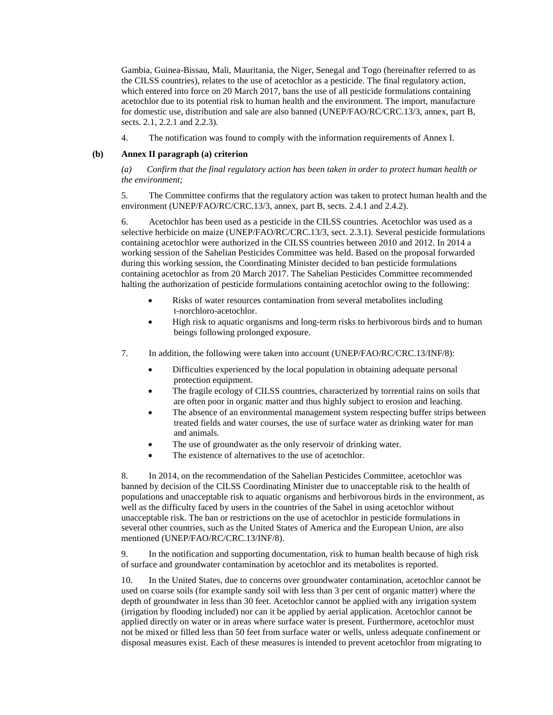Gambia, Guinea-Bissau, Mali, Mauritania, the Niger, Senegal and Togo (hereinafter referred to as the CILSS countries), relates to the use of acetochlor as a pesticide. The final regulatory action, which entered into force on 20 March 2017, bans the use of all pesticide formulations containing acetochlor due to its potential risk to human health and the environment. The import, manufacture for domestic use, distribution and sale are also banned (UNEP/FAO/RC/CRC.13/3, annex, part B, sects. 2.1, 2.2.1 and 2.2.3).

4. The notification was found to comply with the information requirements of Annex I.

### **(b) Annex II paragraph (a) criterion**

*(a) Confirm that the final regulatory action has been taken in order to protect human health or the environment;*

5. The Committee confirms that the regulatory action was taken to protect human health and the environment (UNEP/FAO/RC/CRC.13/3, annex, part B, sects. 2.4.1 and 2.4.2).

6. Acetochlor has been used as a pesticide in the CILSS countries. Acetochlor was used as a selective herbicide on maize (UNEP/FAO/RC/CRC.13/3, sect. 2.3.1). Several pesticide formulations containing acetochlor were authorized in the CILSS countries between 2010 and 2012. In 2014 a working session of the Sahelian Pesticides Committee was held. Based on the proposal forwarded during this working session, the Coordinating Minister decided to ban pesticide formulations containing acetochlor as from 20 March 2017. The Sahelian Pesticides Committee recommended halting the authorization of pesticide formulations containing acetochlor owing to the following:

- Risks of water resources contamination from several metabolites including t-norchloro-acetochlor.
- High risk to aquatic organisms and long-term risks to herbivorous birds and to human beings following prolonged exposure.
- 7. In addition, the following were taken into account (UNEP/FAO/RC/CRC.13/INF/8):
	- Difficulties experienced by the local population in obtaining adequate personal protection equipment.
	- The fragile ecology of CILSS countries, characterized by torrential rains on soils that are often poor in organic matter and thus highly subject to erosion and leaching.
	- The absence of an environmental management system respecting buffer strips between treated fields and water courses, the use of surface water as drinking water for man and animals.
	- The use of groundwater as the only reservoir of drinking water.
	- The existence of alternatives to the use of acetochlor.

8. In 2014, on the recommendation of the Sahelian Pesticides Committee, acetochlor was banned by decision of the CILSS Coordinating Minister due to unacceptable risk to the health of populations and unacceptable risk to aquatic organisms and herbivorous birds in the environment, as well as the difficulty faced by users in the countries of the Sahel in using acetochlor without unacceptable risk. The ban or restrictions on the use of acetochlor in pesticide formulations in several other countries, such as the United States of America and the European Union, are also mentioned (UNEP/FAO/RC/CRC.13/INF/8).

9. In the notification and supporting documentation, risk to human health because of high risk of surface and groundwater contamination by acetochlor and its metabolites is reported.

10. In the United States, due to concerns over groundwater contamination, acetochlor cannot be used on coarse soils (for example sandy soil with less than 3 per cent of organic matter) where the depth of groundwater in less than 30 feet. Acetochlor cannot be applied with any irrigation system (irrigation by flooding included) nor can it be applied by aerial application. Acetochlor cannot be applied directly on water or in areas where surface water is present. Furthermore, acetochlor must not be mixed or filled less than 50 feet from surface water or wells, unless adequate confinement or disposal measures exist. Each of these measures is intended to prevent acetochlor from migrating to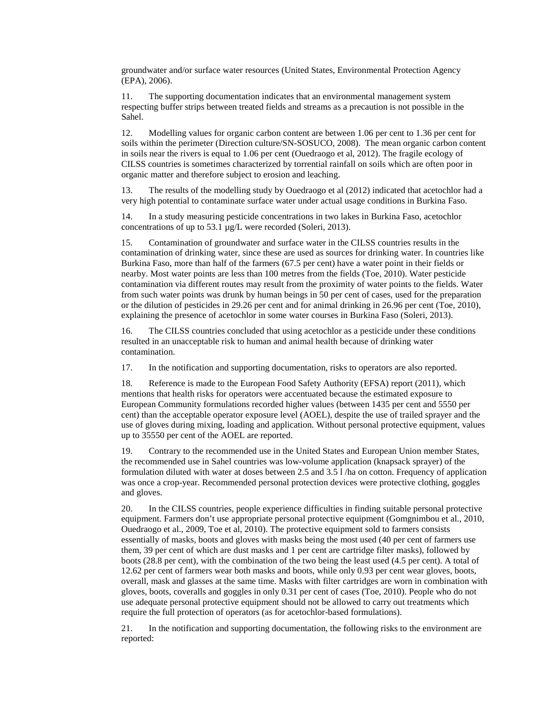groundwater and/or surface water resources (United States, Environmental Protection Agency (EPA), 2006).

11. The supporting documentation indicates that an environmental management system respecting buffer strips between treated fields and streams as a precaution is not possible in the Sahel.

12. Modelling values for organic carbon content are between 1.06 per cent to 1.36 per cent for soils within the perimeter (Direction culture/SN-SOSUCO, 2008). The mean organic carbon content in soils near the rivers is equal to 1.06 per cent (Ouedraogo et al, 2012). The fragile ecology of CILSS countries is sometimes characterized by torrential rainfall on soils which are often poor in organic matter and therefore subject to erosion and leaching.

13. The results of the modelling study by Ouedraogo et al (2012) indicated that acetochlor had a very high potential to contaminate surface water under actual usage conditions in Burkina Faso.

14. In a study measuring pesticide concentrations in two lakes in Burkina Faso, acetochlor concentrations of up to 53.1 µg/L were recorded (Soleri, 2013).

15. Contamination of groundwater and surface water in the CILSS countries results in the contamination of drinking water, since these are used as sources for drinking water. In countries like Burkina Faso, more than half of the farmers (67.5 per cent) have a water point in their fields or nearby. Most water points are less than 100 metres from the fields (Toe, 2010). Water pesticide contamination via different routes may result from the proximity of water points to the fields. Water from such water points was drunk by human beings in 50 per cent of cases, used for the preparation or the dilution of pesticides in 29.26 per cent and for animal drinking in 26.96 per cent (Toe, 2010), explaining the presence of acetochlor in some water courses in Burkina Faso (Soleri, 2013).

16. The CILSS countries concluded that using acetochlor as a pesticide under these conditions resulted in an unacceptable risk to human and animal health because of drinking water contamination.

17. In the notification and supporting documentation, risks to operators are also reported.

18. Reference is made to the European Food Safety Authority (EFSA) report (2011), which mentions that health risks for operators were accentuated because the estimated exposure to European Community formulations recorded higher values (between 1435 per cent and 5550 per cent) than the acceptable operator exposure level (AOEL), despite the use of trailed sprayer and the use of gloves during mixing, loading and application. Without personal protective equipment, values up to 35550 per cent of the AOEL are reported.

19. Contrary to the recommended use in the United States and European Union member States, the recommended use in Sahel countries was low-volume application (knapsack sprayer) of the formulation diluted with water at doses between 2.5 and 3.5 l /ha on cotton. Frequency of application was once a crop-year. Recommended personal protection devices were protective clothing, goggles and gloves.

20. In the CILSS countries, people experience difficulties in finding suitable personal protective equipment. Farmers don't use appropriate personal protective equipment (Gomgnimbou et al., 2010, Ouedraogo et al., 2009, Toe et al, 2010). The protective equipment sold to farmers consists essentially of masks, boots and gloves with masks being the most used (40 per cent of farmers use them, 39 per cent of which are dust masks and 1 per cent are cartridge filter masks), followed by boots (28.8 per cent), with the combination of the two being the least used (4.5 per cent). A total of 12.62 per cent of farmers wear both masks and boots, while only 0.93 per cent wear gloves, boots, overall, mask and glasses at the same time. Masks with filter cartridges are worn in combination with gloves, boots, coveralls and goggles in only 0.31 per cent of cases (Toe, 2010). People who do not use adequate personal protective equipment should not be allowed to carry out treatments which require the full protection of operators (as for acetochlor-based formulations).

21. In the notification and supporting documentation, the following risks to the environment are reported: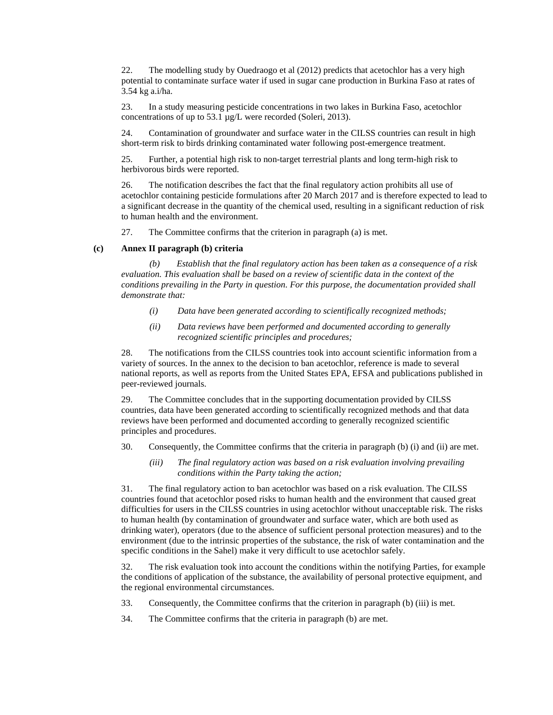22. The modelling study by Ouedraogo et al (2012) predicts that acetochlor has a very high potential to contaminate surface water if used in sugar cane production in Burkina Faso at rates of 3.54 kg a.i/ha.

23. In a study measuring pesticide concentrations in two lakes in Burkina Faso, acetochlor concentrations of up to 53.1 µg/L were recorded (Soleri, 2013).

24. Contamination of groundwater and surface water in the CILSS countries can result in high short-term risk to birds drinking contaminated water following post-emergence treatment.

25. Further, a potential high risk to non-target terrestrial plants and long term-high risk to herbivorous birds were reported.

26. The notification describes the fact that the final regulatory action prohibits all use of acetochlor containing pesticide formulations after 20 March 2017 and is therefore expected to lead to a significant decrease in the quantity of the chemical used, resulting in a significant reduction of risk to human health and the environment.

27. The Committee confirms that the criterion in paragraph (a) is met.

#### **(c) Annex II paragraph (b) criteria**

*(b) Establish that the final regulatory action has been taken as a consequence of a risk evaluation. This evaluation shall be based on a review of scientific data in the context of the conditions prevailing in the Party in question. For this purpose, the documentation provided shall demonstrate that:*

- *(i) Data have been generated according to scientifically recognized methods;*
- *(ii) Data reviews have been performed and documented according to generally recognized scientific principles and procedures;*

28. The notifications from the CILSS countries took into account scientific information from a variety of sources. In the annex to the decision to ban acetochlor, reference is made to several national reports, as well as reports from the United States EPA, EFSA and publications published in peer-reviewed journals.

29. The Committee concludes that in the supporting documentation provided by CILSS countries, data have been generated according to scientifically recognized methods and that data reviews have been performed and documented according to generally recognized scientific principles and procedures.

- 30. Consequently, the Committee confirms that the criteria in paragraph (b) (i) and (ii) are met.
	- *(iii) The final regulatory action was based on a risk evaluation involving prevailing conditions within the Party taking the action;*

31. The final regulatory action to ban acetochlor was based on a risk evaluation. The CILSS countries found that acetochlor posed risks to human health and the environment that caused great difficulties for users in the CILSS countries in using acetochlor without unacceptable risk. The risks to human health (by contamination of groundwater and surface water, which are both used as drinking water), operators (due to the absence of sufficient personal protection measures) and to the environment (due to the intrinsic properties of the substance, the risk of water contamination and the specific conditions in the Sahel) make it very difficult to use acetochlor safely.

32. The risk evaluation took into account the conditions within the notifying Parties, for example the conditions of application of the substance, the availability of personal protective equipment, and the regional environmental circumstances.

- 33. Consequently, the Committee confirms that the criterion in paragraph (b) (iii) is met.
- 34. The Committee confirms that the criteria in paragraph (b) are met.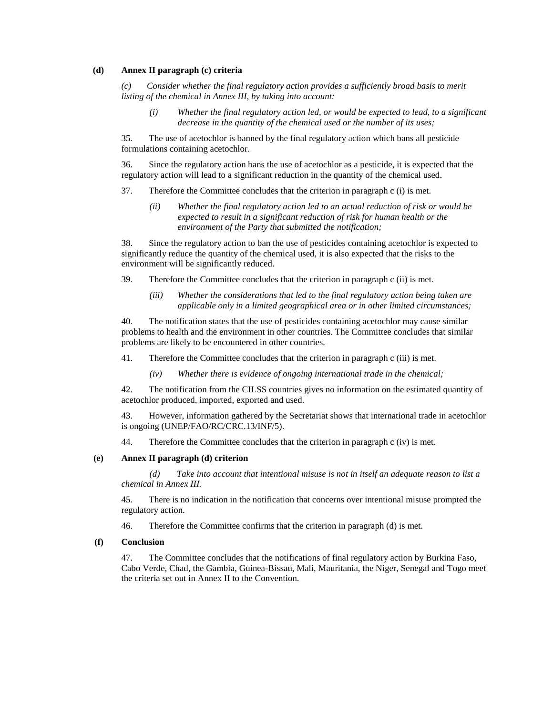### **(d) Annex II paragraph (c) criteria**

*(c) Consider whether the final regulatory action provides a sufficiently broad basis to merit listing of the chemical in Annex III, by taking into account:*

*(i) Whether the final regulatory action led, or would be expected to lead, to a significant decrease in the quantity of the chemical used or the number of its uses;*

35. The use of acetochlor is banned by the final regulatory action which bans all pesticide formulations containing acetochlor.

36. Since the regulatory action bans the use of acetochlor as a pesticide, it is expected that the regulatory action will lead to a significant reduction in the quantity of the chemical used.

- 37. Therefore the Committee concludes that the criterion in paragraph c (i) is met.
	- *(ii) Whether the final regulatory action led to an actual reduction of risk or would be expected to result in a significant reduction of risk for human health or the environment of the Party that submitted the notification;*

38. Since the regulatory action to ban the use of pesticides containing acetochlor is expected to significantly reduce the quantity of the chemical used, it is also expected that the risks to the environment will be significantly reduced.

39. Therefore the Committee concludes that the criterion in paragraph c (ii) is met.

*(iii) Whether the considerations that led to the final regulatory action being taken are applicable only in a limited geographical area or in other limited circumstances;*

40. The notification states that the use of pesticides containing acetochlor may cause similar problems to health and the environment in other countries. The Committee concludes that similar problems are likely to be encountered in other countries.

41. Therefore the Committee concludes that the criterion in paragraph c (iii) is met.

*(iv) Whether there is evidence of ongoing international trade in the chemical;*

42. The notification from the CILSS countries gives no information on the estimated quantity of acetochlor produced, imported, exported and used.

43. However, information gathered by the Secretariat shows that international trade in acetochlor is ongoing (UNEP/FAO/RC/CRC.13/INF/5).

44. Therefore the Committee concludes that the criterion in paragraph c (iv) is met.

#### **(e) Annex II paragraph (d) criterion**

*(d) Take into account that intentional misuse is not in itself an adequate reason to list a chemical in Annex III.*

45. There is no indication in the notification that concerns over intentional misuse prompted the regulatory action.

46. Therefore the Committee confirms that the criterion in paragraph (d) is met.

#### **(f) Conclusion**

47. The Committee concludes that the notifications of final regulatory action by Burkina Faso, Cabo Verde, Chad, the Gambia, Guinea-Bissau, Mali, Mauritania, the Niger, Senegal and Togo meet the criteria set out in Annex II to the Convention.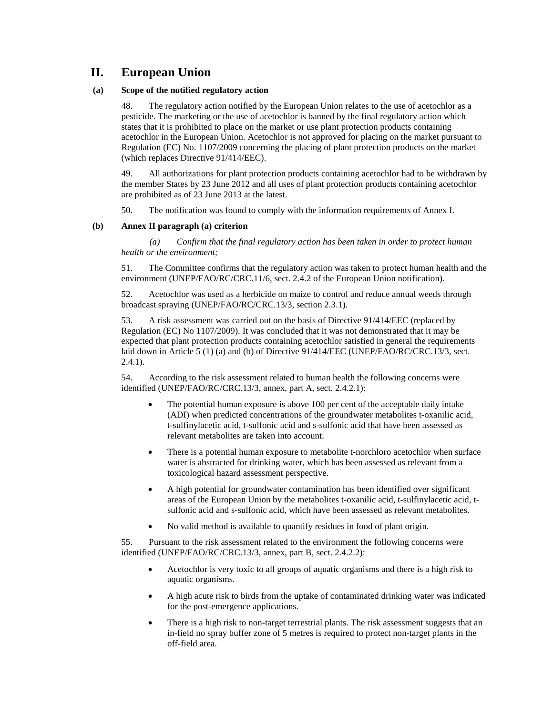# **II. European Union**

### **(a) Scope of the notified regulatory action**

48. The regulatory action notified by the European Union relates to the use of acetochlor as a pesticide. The marketing or the use of acetochlor is banned by the final regulatory action which states that it is prohibited to place on the market or use plant protection products containing acetochlor in the European Union. Acetochlor is not approved for placing on the market pursuant to Regulation (EC) No. 1107/2009 concerning the placing of plant protection products on the market (which replaces Directive 91/414/EEC).

49. All authorizations for plant protection products containing acetochlor had to be withdrawn by the member States by 23 June 2012 and all uses of plant protection products containing acetochlor are prohibited as of 23 June 2013 at the latest.

50. The notification was found to comply with the information requirements of Annex I.

## **(b) Annex II paragraph (a) criterion**

*(a) Confirm that the final regulatory action has been taken in order to protect human health or the environment;*

51. The Committee confirms that the regulatory action was taken to protect human health and the environment (UNEP/FAO/RC/CRC.11/6, sect. 2.4.2 of the European Union notification).

52. Acetochlor was used as a herbicide on maize to control and reduce annual weeds through broadcast spraying (UNEP/FAO/RC/CRC.13/3, section 2.3.1).

53. A risk assessment was carried out on the basis of Directive 91/414/EEC (replaced by Regulation (EC) No 1107/2009). It was concluded that it was not demonstrated that it may be expected that plant protection products containing acetochlor satisfied in general the requirements laid down in Article 5 (1) (a) and (b) of Directive 91/414/EEC (UNEP/FAO/RC/CRC.13/3, sect. 2.4.1).

54. According to the risk assessment related to human health the following concerns were identified (UNEP/FAO/RC/CRC.13/3, annex, part A, sect. 2.4.2.1):

- The potential human exposure is above 100 per cent of the acceptable daily intake (ADI) when predicted concentrations of the groundwater metabolites t-oxanilic acid, t-sulfinylacetic acid, t-sulfonic acid and s-sulfonic acid that have been assessed as relevant metabolites are taken into account.
- There is a potential human exposure to metabolite t-norchloro acetochlor when surface water is abstracted for drinking water, which has been assessed as relevant from a toxicological hazard assessment perspective.
- A high potential for groundwater contamination has been identified over significant areas of the European Union by the metabolites t-oxanilic acid, t-sulfinylacetic acid, tsulfonic acid and s-sulfonic acid, which have been assessed as relevant metabolites.
- No valid method is available to quantify residues in food of plant origin.

55. Pursuant to the risk assessment related to the environment the following concerns were identified (UNEP/FAO/RC/CRC.13/3, annex, part B, sect. 2.4.2.2):

- Acetochlor is very toxic to all groups of aquatic organisms and there is a high risk to aquatic organisms.
- A high acute risk to birds from the uptake of contaminated drinking water was indicated for the post-emergence applications.
- There is a high risk to non-target terrestrial plants. The risk assessment suggests that an in-field no spray buffer zone of 5 metres is required to protect non-target plants in the off-field area.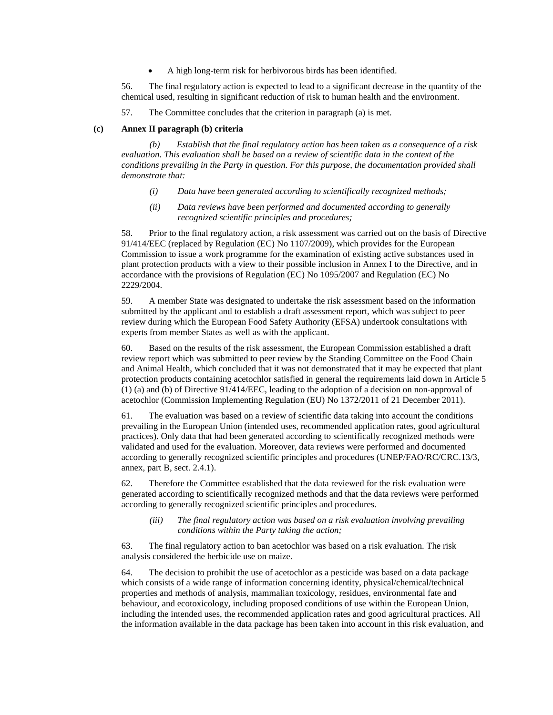• A high long-term risk for herbivorous birds has been identified.

56. The final regulatory action is expected to lead to a significant decrease in the quantity of the chemical used, resulting in significant reduction of risk to human health and the environment.

57. The Committee concludes that the criterion in paragraph (a) is met.

#### **(c) Annex II paragraph (b) criteria**

*(b) Establish that the final regulatory action has been taken as a consequence of a risk evaluation. This evaluation shall be based on a review of scientific data in the context of the conditions prevailing in the Party in question. For this purpose, the documentation provided shall demonstrate that:*

- *(i) Data have been generated according to scientifically recognized methods;*
- *(ii) Data reviews have been performed and documented according to generally recognized scientific principles and procedures;*

58. Prior to the final regulatory action, a risk assessment was carried out on the basis of Directive 91/414/EEC (replaced by Regulation (EC) No 1107/2009), which provides for the European Commission to issue a work programme for the examination of existing active substances used in plant protection products with a view to their possible inclusion in Annex I to the Directive, and in accordance with the provisions of Regulation (EC) No 1095/2007 and Regulation (EC) No 2229/2004.

59. A member State was designated to undertake the risk assessment based on the information submitted by the applicant and to establish a draft assessment report, which was subject to peer review during which the European Food Safety Authority (EFSA) undertook consultations with experts from member States as well as with the applicant.

60. Based on the results of the risk assessment, the European Commission established a draft review report which was submitted to peer review by the Standing Committee on the Food Chain and Animal Health, which concluded that it was not demonstrated that it may be expected that plant protection products containing acetochlor satisfied in general the requirements laid down in Article 5 (1) (a) and (b) of Directive 91/414/EEC, leading to the adoption of a decision on non-approval of acetochlor (Commission Implementing Regulation (EU) No 1372/2011 of 21 December 2011).

61. The evaluation was based on a review of scientific data taking into account the conditions prevailing in the European Union (intended uses, recommended application rates, good agricultural practices). Only data that had been generated according to scientifically recognized methods were validated and used for the evaluation. Moreover, data reviews were performed and documented according to generally recognized scientific principles and procedures (UNEP/FAO/RC/CRC.13/3, annex, part B, sect. 2.4.1).

62. Therefore the Committee established that the data reviewed for the risk evaluation were generated according to scientifically recognized methods and that the data reviews were performed according to generally recognized scientific principles and procedures.

#### *(iii) The final regulatory action was based on a risk evaluation involving prevailing conditions within the Party taking the action;*

63. The final regulatory action to ban acetochlor was based on a risk evaluation. The risk analysis considered the herbicide use on maize.

64. The decision to prohibit the use of acetochlor as a pesticide was based on a data package which consists of a wide range of information concerning identity, physical/chemical/technical properties and methods of analysis, mammalian toxicology, residues, environmental fate and behaviour, and ecotoxicology, including proposed conditions of use within the European Union, including the intended uses, the recommended application rates and good agricultural practices. All the information available in the data package has been taken into account in this risk evaluation, and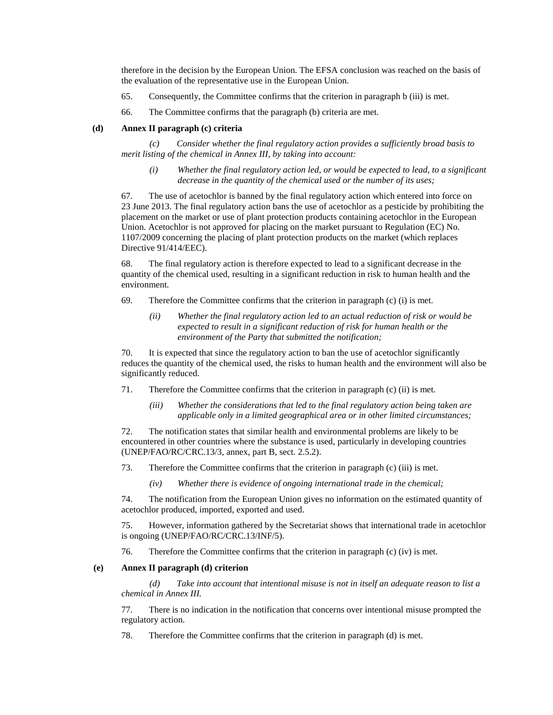therefore in the decision by the European Union. The EFSA conclusion was reached on the basis of the evaluation of the representative use in the European Union.

- 65. Consequently, the Committee confirms that the criterion in paragraph b (iii) is met.
- 66. The Committee confirms that the paragraph (b) criteria are met.

#### **(d) Annex II paragraph (c) criteria**

*(c) Consider whether the final regulatory action provides a sufficiently broad basis to merit listing of the chemical in Annex III, by taking into account:*

*(i) Whether the final regulatory action led, or would be expected to lead, to a significant decrease in the quantity of the chemical used or the number of its uses;*

67. The use of acetochlor is banned by the final regulatory action which entered into force on 23 June 2013. The final regulatory action bans the use of acetochlor as a pesticide by prohibiting the placement on the market or use of plant protection products containing acetochlor in the European Union. Acetochlor is not approved for placing on the market pursuant to Regulation (EC) No. 1107/2009 concerning the placing of plant protection products on the market (which replaces Directive 91/414/EEC).

68. The final regulatory action is therefore expected to lead to a significant decrease in the quantity of the chemical used, resulting in a significant reduction in risk to human health and the environment.

- 69. Therefore the Committee confirms that the criterion in paragraph  $(c)$  (i) is met.
	- *(ii) Whether the final regulatory action led to an actual reduction of risk or would be expected to result in a significant reduction of risk for human health or the environment of the Party that submitted the notification;*

70. It is expected that since the regulatory action to ban the use of acetochlor significantly reduces the quantity of the chemical used, the risks to human health and the environment will also be significantly reduced.

- 71. Therefore the Committee confirms that the criterion in paragraph (c) (ii) is met.
	- *(iii) Whether the considerations that led to the final regulatory action being taken are applicable only in a limited geographical area or in other limited circumstances;*

72. The notification states that similar health and environmental problems are likely to be encountered in other countries where the substance is used, particularly in developing countries (UNEP/FAO/RC/CRC.13/3, annex, part B, sect. 2.5.2).

- 73. Therefore the Committee confirms that the criterion in paragraph (c) (iii) is met.
	- *(iv) Whether there is evidence of ongoing international trade in the chemical;*

74. The notification from the European Union gives no information on the estimated quantity of acetochlor produced, imported, exported and used.

75. However, information gathered by the Secretariat shows that international trade in acetochlor is ongoing (UNEP/FAO/RC/CRC.13/INF/5).

76. Therefore the Committee confirms that the criterion in paragraph (c) (iv) is met.

#### **(e) Annex II paragraph (d) criterion**

*(d) Take into account that intentional misuse is not in itself an adequate reason to list a chemical in Annex III.*

77. There is no indication in the notification that concerns over intentional misuse prompted the regulatory action.

78. Therefore the Committee confirms that the criterion in paragraph (d) is met.